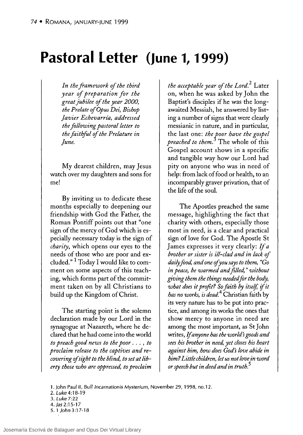## **Pastoral Letter (June 1, 1999)**

In the framework of the third *year of preparation for the great jubilee 01 the year 2000, the Prelate 01 Opus Dei, Bishop Javier Echevarría, addressed the following pastoral letter to the faithful 01 the Pre/ature in June.* 

My dearest children, may Jesus watch over my daughters and sons for me!

By inviting us to dedicate these months especially to deepening our friendship with God the Father, the Roman Pontiff points out that "one sign of the mercy of God which is especially necessary today is the sign of *charity,* which opens our eyes to the needs of those who are poor and excluded." 1 Today 1 would like to comment on some aspects of this teaching, which forms part of the commitment taken on by all Christians to build up the Kingdom of Christ.

The starting point is the solemn declaration made by our Lord in the synagogue at Nazareth, where he declared that he had come into the world *to preach good news to the poor .* .. , *to proclaim re/ease to the captives and recovering ofsight to the blind, to set at liberty those who are oppressed, to proclaim* 

*the acceptable year 01 the Lord.2* Later on, when he was asked by John the Baptist's disciples if he was the longawaited Messiah, he answered by listing a number of signs that were clearly messianic in nature, and in particular, the last one: *the toor ha ve the gospel preached to them.* The whole of this Gospel account shows in a specific and tangible way how our Lord had pity on anyone who was in need of help: from lack of food or health, to an incomparably graver privation, that of the life of the soul.

The Aposdes preached the same message, highlighting the fact that charity with others, especially those most in need, is a clear and practical sign of love for God. The Aposde St James expresses it very clearly: If *<sup>a</sup> brother or sister is il/-clad and in lack 01 daily food, and one ofyou says to them, "Go in peace, be warmed and filled,* " *without giving them the things needed for the body, what does it profit? So faith by itse!f,* if *it has no works, is dead.4* Christian faith by its very nature has to be put into practice, and among its works the ones that show mercy to anyone in need are among the most important, as St John writes, lf *anyone has the world's goods and sees his brother in need, yet closes his heart against him, how does God's love abide in him? Little children, let us not love in word or speech but in deed and in truth.<sup>5</sup>*

- 1. John Paul II, Bull Incarnationis Mysterium, November 29, 1998, no.12.
- 2. Luke 4:18-19
- 3. Luke 7:22
- 4.Jas2:15-17
- 5.1 John3:17-18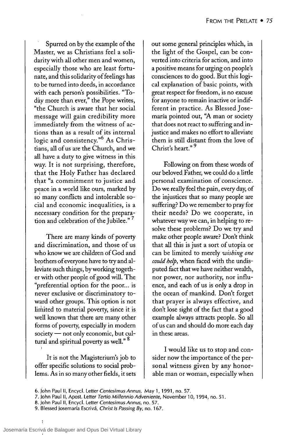Spurred on by the example of the Master, we as Christians feel a solidarity with all other men and women, especially those who are least fortunate, and this solidarity of feelings has to be turned into deeds, in accordance with each person's possibilities. "Today more than ever," the Pope writes, "the Church is aware that her social message will gain credibility more immediately from the witness of actions than as a result of its internal logic and consistency."<sup>6</sup> As Christians, all of us are the Church, and we all have a duty to give witness in this way. It is not surprising, therefore, that the Holy Father has declared that "a commitment to justice and peace in a world like ours, marked by so many conflicts and intolerable social and economic inequalities, is a necessary condition for the preparation and celebration of the Jubilee."<sup>7</sup>

There are many kinds of poverty and discrimination, and those of us who know we are children of God and brothers of everyone have to try and alleviate such things, by working together with other people of good will. The "preferential option for the poor... is never exclusive or discriminatory toward other groups. This option is not limited to material poverty, since it is well known that there are many other forms of poverty, especially in modern society - not only economic, but cultural and spiritual poverty as well." <sup>8</sup>

It is not the Magisterium's job to offer specific solutions to social problems. As in so many other fields, it sets out some general principles which, in the light of the Gospel, can be converted into criteria for action, and into a positive means for urging on people's consciences to do good. But this logical explanation of basic points, with great respect for freedom, is no excuse for anyone to remain inactive or indifferent in practice. As Blessed Josemaría pointed out, "A man or society that does not react to suffering and injustice and makes no effort to alleviate them is still distant from the love of Christ's heart."<sup>9</sup>

Following on from these words of our beloved Father, we could do a little personal examination of conscience. Do we really feel the pain, every day, of the injustices that so many people are suffering? Do we remember to pray for their needs? Do we cooperate, in whatever way we can, in helping to resolve these problems? Do we try and make other people aware? Don't think that all this is just a sort of utopia or can be limited to merely wishing one could help, when faced with the undisputed fact that we have neither wealth, nor power, nor authority, nor influence, and each of us is only a drop in the ocean of mankind. Don't forget that prayer is always effective, and don't lose sight of the fact that a good example always attracts people. So all of us can and should do more each day in these areas.

I would like us to stop and consider now the importance of the personal witness given by any honorable man or woman, especially when

<sup>6.</sup> John Paul II, Encycl. Letter Centesimus Annus, May 1, 1991, no. 57.

<sup>7.</sup> John Paul II, Apost. Letter Tertio Millennio Adveniente, November 10, 1994, no. 51.

<sup>8.</sup> John Paul II, Encycl. Letter Centesimus Annus, no. 57.

<sup>9.</sup> Blessed Josemaría Escrivá, Christ Is Passing By, no. 167.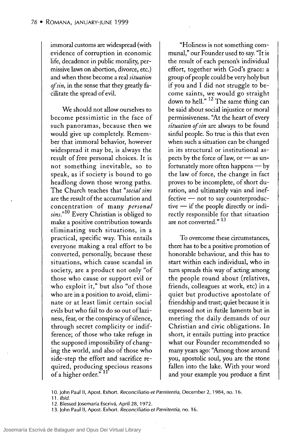immoral customs are widespread (with evidence of corruption in economic life, decadence in public morality, permissive laws on abortion, divorce, etc.) and when these become a real *situation of sin*, in the sense that they greatly facilitate the spread of evil.

We should not allow ourselves to become pessimistic in the face of such panoramas, because then we would give up completely. Remember that immoral behavior, however widespread it may be, is always the result of free personal choices. It is not something inevitable, so to speak, as if society is bound to go headlong down those wrong paths. The Church teaches that *"social sins*  are the result of the accumulation and concentration of many *personal sins."lO* Every Christian is obliged to make a positive contribution towards eliminating such situations, in a practical, specific way. This entails everyone making a real effort to be converted, personally, because these situations, which cause scandal in society, are a product not only "of those who cause or support evil or who exploit it," but also "of those who are in a position to avoid, eliminate or at least limit certain social evils but who fail to do so out of laziness, fear, or the conspiracy of silence, through secret complicity or indifference; of those who take refuge in the supposed impossibility of changing the world, and also of those who side-step the effort and sacrifice required, producing specious reasons of a higher order." <sup>11</sup>

"Holiness is not something communal," our Founder used to say. "It is the result of each person's individual effort, together with God's grace: a group of people could be very holy but if you and 1 did not struggle to become saints, we would go straight down to hell." 12 The same thing can be said about social injustice or moral permissiveness. "At the heart of every situation of sin are always to be found sinful people. So true is this that even when such a situation can be changed in its structural or institutional aspects by the force of law, or  $-$  as unfortunately more often happens  $-$  by the law of force, the change in fact proves to be incomplete, of short duration, and ultimately vain and inef $f$  fective  $-$  not to say counterproduc $tive$  - if the people directly or indirectly responsible for that situation are not converted." <sup>13</sup>

To overcome these circumstances, there has to be a positive promotion of honorable behaviour, and this has to start within each individual, who in turn spreads this way of acting among the people round about (relatives, friends, colleagues at work, etc) in a quiet but productive apostolate of friendship and trust; quiet because it is expressed not in futile laments but in meeting the daily demands of our Christian and civic obligations. In short, it entails putting into practice what our Founder recommended so many years ago: "Among those around you, apostolic soul, you are the stone fallen into the lake. With your word and your example you produce a first

11. Ibid.

<sup>10.</sup> John Paul II, Apost. Exhort. *Reconciliatio et Pænitentia*, December 2, 1984, no. 16.

<sup>12.</sup> Blessed josemaría Escrivá, April 28, 1972.

<sup>13.</sup> John Paul II, Apost. Exhort. *Reconciliatio et Pænitentia*, no. 16.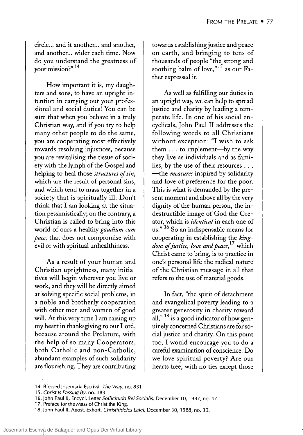circle... and it another... and another, and another... wider each time. Now do you understand the greatness of ao you understa<br>your mission?" <sup>14</sup>

How important it is, my daughters and sons, to have an upright intention in carrying out your professional and social duties! You can be sure that when you behave in a truly Christian way, and if you try to help many other people to do the same, you are cooperating most effectively towards resolving injustices, because you are revitalising the tissue of society with the lymph of the Cospel and helping to heal those *struetures of sin,*  which are the result of personal sins, and which tend to mass together in a society that is spiritually ill. Don't think that 1 am looking at the situation pessimistically; on the contrary, a Christian is called to bring into this world of ours a healthy *gaudium eum pace,* that does not compromise with evil or with spiritual unhealthiness.

As a result of your human and Christian uprightness, many initiatives will begin wherever you live or work, and they will be directly aimed at solving specific social problems, in a noble and brotherly cooperation with other men and women of good will. At this very time 1 am raising up my heart in thanksgiving to our Lord, because around the Prelature, with the help of so many Cooperators, both Catholic and non-Catholic, abundant examples of such solidarity are flourishing. They are contributing

towards establishing justice and peace on earth, and bringing to tens of thousands of people "the strong and soothing balm of love," $15$  as our Father expressed it.

As well as fulfilling our duties in an upright way, we can help to spread justice and charity by leading a temperate life. In one of his social encyclicals, John Paul II addresses the following words to all Christians without exception: "1 wish to ask them  $\ldots$  to implement—by the way they live as individuals and as families, by the use of their resources ... -the *measures* inspired by solidarity and love of preference for the poor. This is what is demanded by the present moment and aboye all by the very dignity of the human person, the indestructible image of Cod the Creator, which is *identieal* in each one of us."<sup>16</sup> So an indispensable means for cooperating in establishing the *kingdom ofjustiee, lave and peaee,* 17 which Christ carne to bring, is to practice in one's personal life the radical nature of the Christian message in all that refers to the use of material goods.

In fact, "the spirit of detachment and evangelical poverty leading to a greater generosity in charity toward all,"  $^{18}$  is a good indicator of how genuinely concerned Christians are for social justice and charity. On this point too, 1 would encourage you to do a careful examination of conscience. Do we love spiritual poverty? Are our hearts free, with no ties except those

<sup>14.</sup> Blessed Josemaría Escrivá, *The Way,* no. 831.

*<sup>15.</sup> Christ Is Passing By,* no. 183.

<sup>16.</sup> John Paulll, Encycl. Letter *Sollicitudo Rei Socialis,* December 10, 1987, no. 47.

<sup>17.</sup> Preface for the Mass of Christ the King.

<sup>18.</sup> John Paulll, Apos!. Exhort. *Christifideles Laici,* December 30, 1988, no. 30.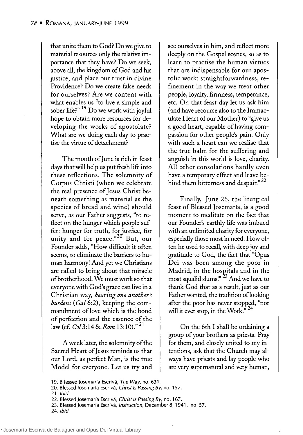that unite them to Cod? Do we give to material resources only the relative importance that they have? Do we seek, aboye all, the kingdom of Cod and his justice, and place our trust in divine Providence? Do we create false needs for ourselves? Are we content with what enables us "to live a simple and sober life?" 19 Do we work with joyfu1 hope to obtain more resources for developing the works of apostolate? What are we doing each day to practise the virtue of detachment?

The month of June is rich in feast days thatwill help us put fresh life into these reflections. The solemnity of Corpus Christi (when we celebrate the real presence of Jesus Christ beneath something as material as the species of bread and wine) should serve, as our Father suggests, "to reflect on the hunger which people suffer: hunger for truth, for justice, for unity and for peace." $20$  But, our Founder adds, "How difficult it often seems, to eliminate the barriers to human harmony! And yet we Christians are called to bring about that miracle ofbrotherhood. We must work so that everyone with Cod's grace can live in a Christian way, *bearing one another's burdens (GaI6:2),* keeping the commandment of love which is the bond of perfection and the essence of the law (cf. *Col* 3:14 & Rom 13:10)."<sup>21</sup>

A week later, the solemnity of the Sacred Heart of Jesus reminds us that our Lord, as perfect Man, is the true Model for everyone. Let us try and see ourselves in him, and reflect more deeply on the Cospel scenes, so as to learn to practise the human virtues that are indispensable for our apostolic work: straightforwardness, refinement in the way we treat other people, loyalty, firmness, temperance, etc. On that feast day let us ask him (and have recourse also to the Immaculate Heart of our Mother) to "give us a good heart, capable of having compassion for other people's pain. Only with such a heart can we realise that the true balm for the suffering and anguish in this world is love, charity. AH other consolations hardly even have a temporary effect and leave behind them bitterness and despair."<sup>22</sup>

FinaHy, June 26, the liturgical feast of Blessed Josemaría, is a good moment to meditate on the fact that our Founder's earthly life was imbued with an unlimited charity for everyone, especially those most in need. How often he used to recall, with deep joy and gratitude to Cod, the fact that "Opus Dei was born among the poor in Madrid, in the hospitals and in the most squalid slums!" <sup>23</sup> And we have to thank Cod that as a result, just as our Father wanted, the tradition of looking after the poor has never stopped, "nor will it ever stop, in the Work. $\mathring{r}^{24}$ 

On the 6th 1 shall be ordaining a group of your brothers as priests. Pray for them, and closely united to my intentions, ask that the Church may always have priests and lay people who are very supernatural and very human,

20. Blessed josemaría Escrivá, *Christ* /s *Passing By,* no. 157.

- 23. Blessed josemaría Escrivá, */nstruction,* December 8,1941, no. 57.
- *24./bid.*

<sup>19.</sup> B lessed josemaría Escrivá, The Way, no. 631 .

<sup>21.</sup> */bid.* 

<sup>22.</sup> Blessed josemaría Escrivá, *Christ* /s *Passing By,* no. 167.